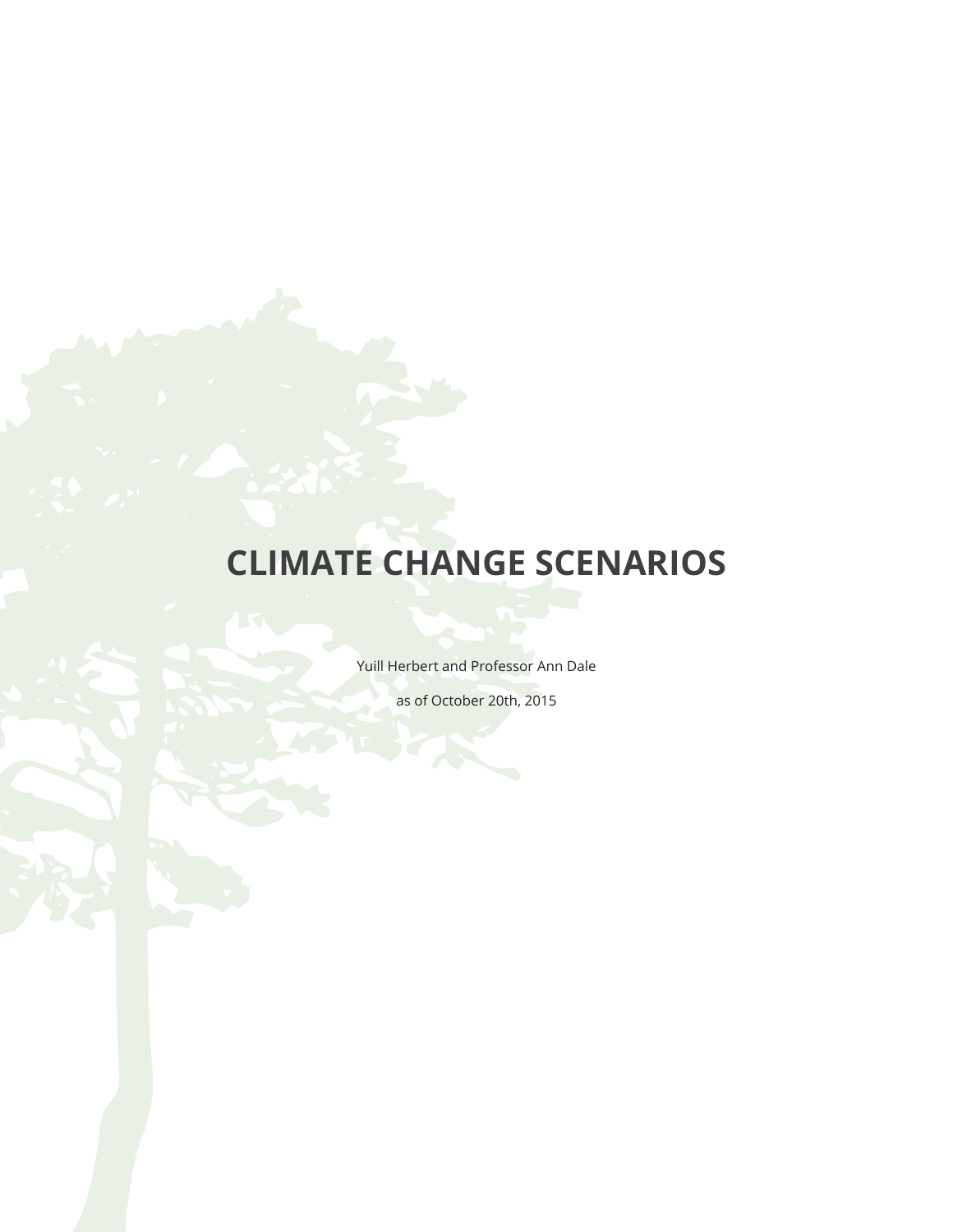## **CLIMATE CHANGE SCENARIOS**

Yuill Herbert and Professor Ann Dale

as of October 20th, 2015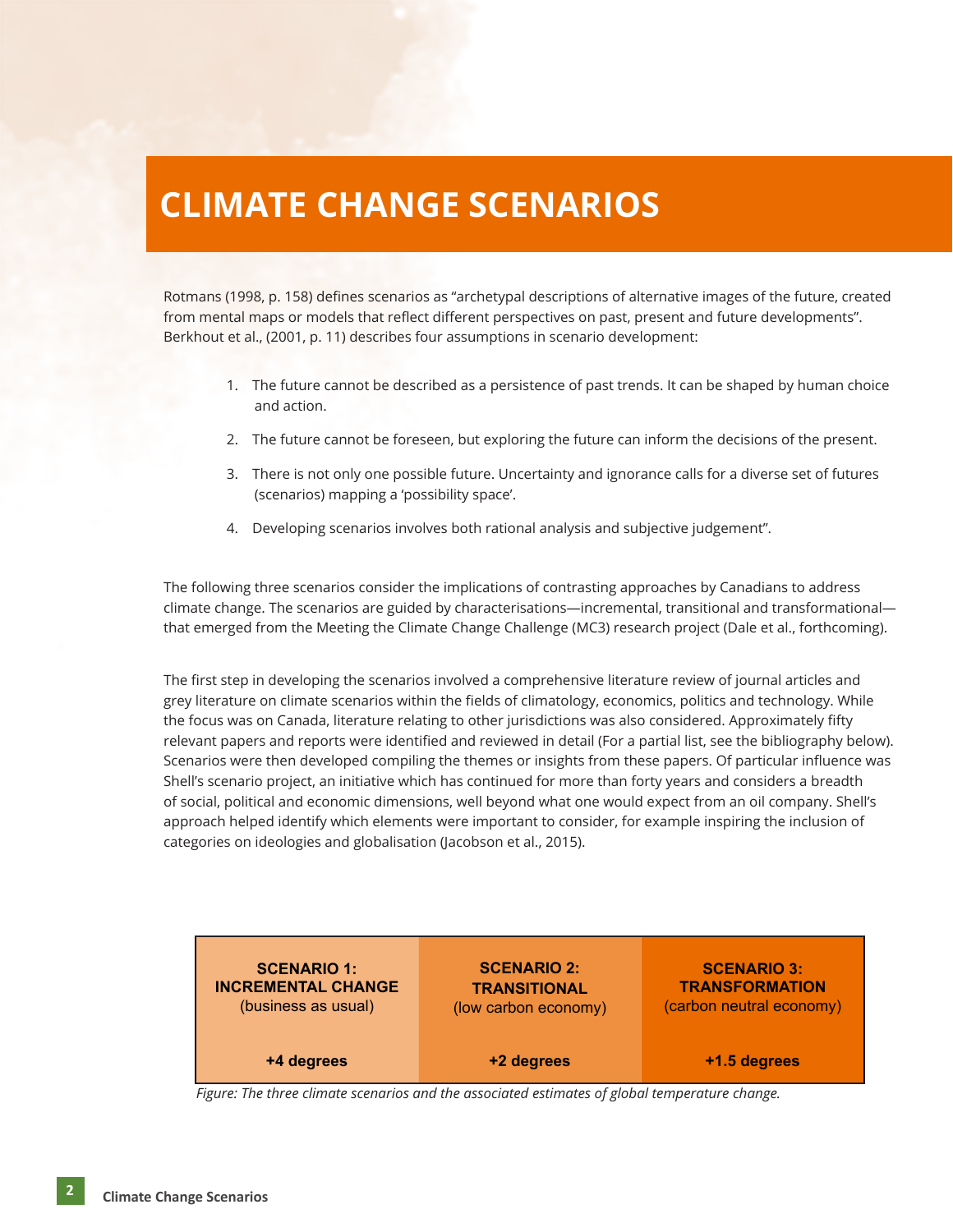## **CLIMATE CHANGE SCENARIOS**

Rotmans (1998, p. 158) defines scenarios as "archetypal descriptions of alternative images of the future, created from mental maps or models that reflect different perspectives on past, present and future developments". Berkhout et al., (2001, p. 11) describes four assumptions in scenario development:

- 1. The future cannot be described as a persistence of past trends. It can be shaped by human choice and action.
- 2. The future cannot be foreseen, but exploring the future can inform the decisions of the present.
- 3. There is not only one possible future. Uncertainty and ignorance calls for a diverse set of futures (scenarios) mapping a 'possibility space'.
- 4. Developing scenarios involves both rational analysis and subjective judgement".

The following three scenarios consider the implications of contrasting approaches by Canadians to address climate change. The scenarios are guided by characterisations—incremental, transitional and transformational that emerged from the Meeting the Climate Change Challenge (MC3) research project (Dale et al., forthcoming).

The first step in developing the scenarios involved a comprehensive literature review of journal articles and grey literature on climate scenarios within the fields of climatology, economics, politics and technology. While the focus was on Canada, literature relating to other jurisdictions was also considered. Approximately fifty relevant papers and reports were identified and reviewed in detail (For a partial list, see the bibliography below). Scenarios were then developed compiling the themes or insights from these papers. Of particular influence was Shell's scenario project, an initiative which has continued for more than forty years and considers a breadth of social, political and economic dimensions, well beyond what one would expect from an oil company. Shell's approach helped identify which elements were important to consider, for example inspiring the inclusion of categories on ideologies and globalisation (Jacobson et al., 2015).

| <b>SCENARIO 1:</b>        | <b>SCENARIO 2:</b>   | <b>SCENARIO 3:</b>       |
|---------------------------|----------------------|--------------------------|
| <b>INCREMENTAL CHANGE</b> | <b>TRANSITIONAL</b>  | <b>TRANSFORMATION</b>    |
| (business as usual)       | (low carbon economy) | (carbon neutral economy) |
| +4 degrees                | +2 degrees           | +1.5 degrees             |

*Figure: The three climate scenarios and the associated estimates of global temperature change.*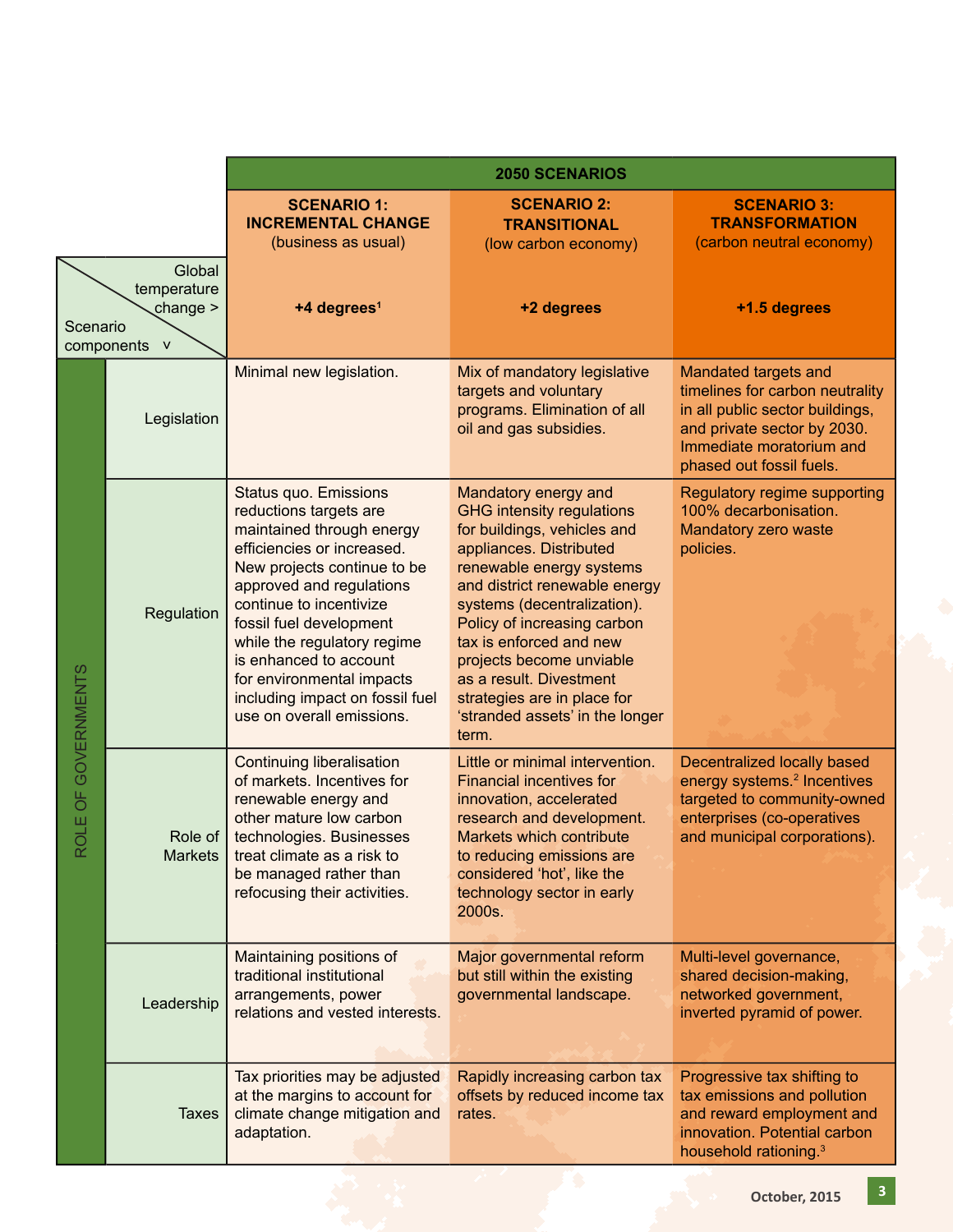|                         |                                                                   | <b>2050 SCENARIOS</b>                                                                                                                                                                                                                                                                                                                                                                    |                                                                                                                                                                                                                                                                                                                                                                                                            |                                                                                                                                                                                   |
|-------------------------|-------------------------------------------------------------------|------------------------------------------------------------------------------------------------------------------------------------------------------------------------------------------------------------------------------------------------------------------------------------------------------------------------------------------------------------------------------------------|------------------------------------------------------------------------------------------------------------------------------------------------------------------------------------------------------------------------------------------------------------------------------------------------------------------------------------------------------------------------------------------------------------|-----------------------------------------------------------------------------------------------------------------------------------------------------------------------------------|
|                         |                                                                   | <b>SCENARIO 1:</b><br><b>INCREMENTAL CHANGE</b><br>(business as usual)                                                                                                                                                                                                                                                                                                                   | <b>SCENARIO 2:</b><br><b>TRANSITIONAL</b><br>(low carbon economy)                                                                                                                                                                                                                                                                                                                                          | <b>SCENARIO 3:</b><br><b>TRANSFORMATION</b><br>(carbon neutral economy)                                                                                                           |
| Scenario                | Global<br>temperature<br>change $>$<br>components<br>$\mathbf{V}$ | +4 degrees <sup>1</sup>                                                                                                                                                                                                                                                                                                                                                                  | +2 degrees                                                                                                                                                                                                                                                                                                                                                                                                 | +1.5 degrees                                                                                                                                                                      |
|                         | Legislation                                                       | Minimal new legislation.                                                                                                                                                                                                                                                                                                                                                                 | Mix of mandatory legislative<br>targets and voluntary<br>programs. Elimination of all<br>oil and gas subsidies.                                                                                                                                                                                                                                                                                            | Mandated targets and<br>timelines for carbon neutrality<br>in all public sector buildings,<br>and private sector by 2030.<br>Immediate moratorium and<br>phased out fossil fuels. |
|                         | Regulation                                                        | <b>Status quo. Emissions</b><br>reductions targets are<br>maintained through energy<br>efficiencies or increased.<br>New projects continue to be<br>approved and regulations<br>continue to incentivize<br>fossil fuel development<br>while the regulatory regime<br>is enhanced to account<br>for environmental impacts<br>including impact on fossil fuel<br>use on overall emissions. | Mandatory energy and<br><b>GHG intensity regulations</b><br>for buildings, vehicles and<br>appliances. Distributed<br>renewable energy systems<br>and district renewable energy<br>systems (decentralization).<br>Policy of increasing carbon<br>tax is enforced and new<br>projects become unviable<br>as a result. Divestment<br>strategies are in place for<br>'stranded assets' in the longer<br>term. | Regulatory regime supporting<br>100% decarbonisation.<br>Mandatory zero waste<br>policies.                                                                                        |
| OLE OF GOVERNMENTS<br>Œ | Role of<br><b>Markets</b>                                         | <b>Continuing liberalisation</b><br>of markets. Incentives for<br>renewable energy and<br>other mature low carbon<br>technologies. Businesses<br>treat climate as a risk to<br>be managed rather than<br>refocusing their activities.                                                                                                                                                    | Little or minimal intervention.<br>Financial incentives for<br>innovation, accelerated<br>research and development.<br><b>Markets which contribute</b><br>to reducing emissions are<br>considered 'hot', like the<br>technology sector in early<br>2000s.                                                                                                                                                  | Decentralized locally based<br>energy systems. <sup>2</sup> Incentives<br>targeted to community-owned<br>enterprises (co-operatives<br>and municipal corporations).               |
|                         | Leadership                                                        | Maintaining positions of<br>traditional institutional<br>arrangements, power<br>relations and vested interests.                                                                                                                                                                                                                                                                          | Major governmental reform<br>but still within the existing<br>governmental landscape.                                                                                                                                                                                                                                                                                                                      | Multi-level governance,<br>shared decision-making,<br>networked government,<br>inverted pyramid of power.                                                                         |
|                         | <b>Taxes</b>                                                      | Tax priorities may be adjusted<br>at the margins to account for<br>climate change mitigation and<br>adaptation.                                                                                                                                                                                                                                                                          | Rapidly increasing carbon tax<br>offsets by reduced income tax<br>rates.                                                                                                                                                                                                                                                                                                                                   | Progressive tax shifting to<br>tax emissions and pollution<br>and reward employment and<br>innovation. Potential carbon<br>household rationing. <sup>3</sup>                      |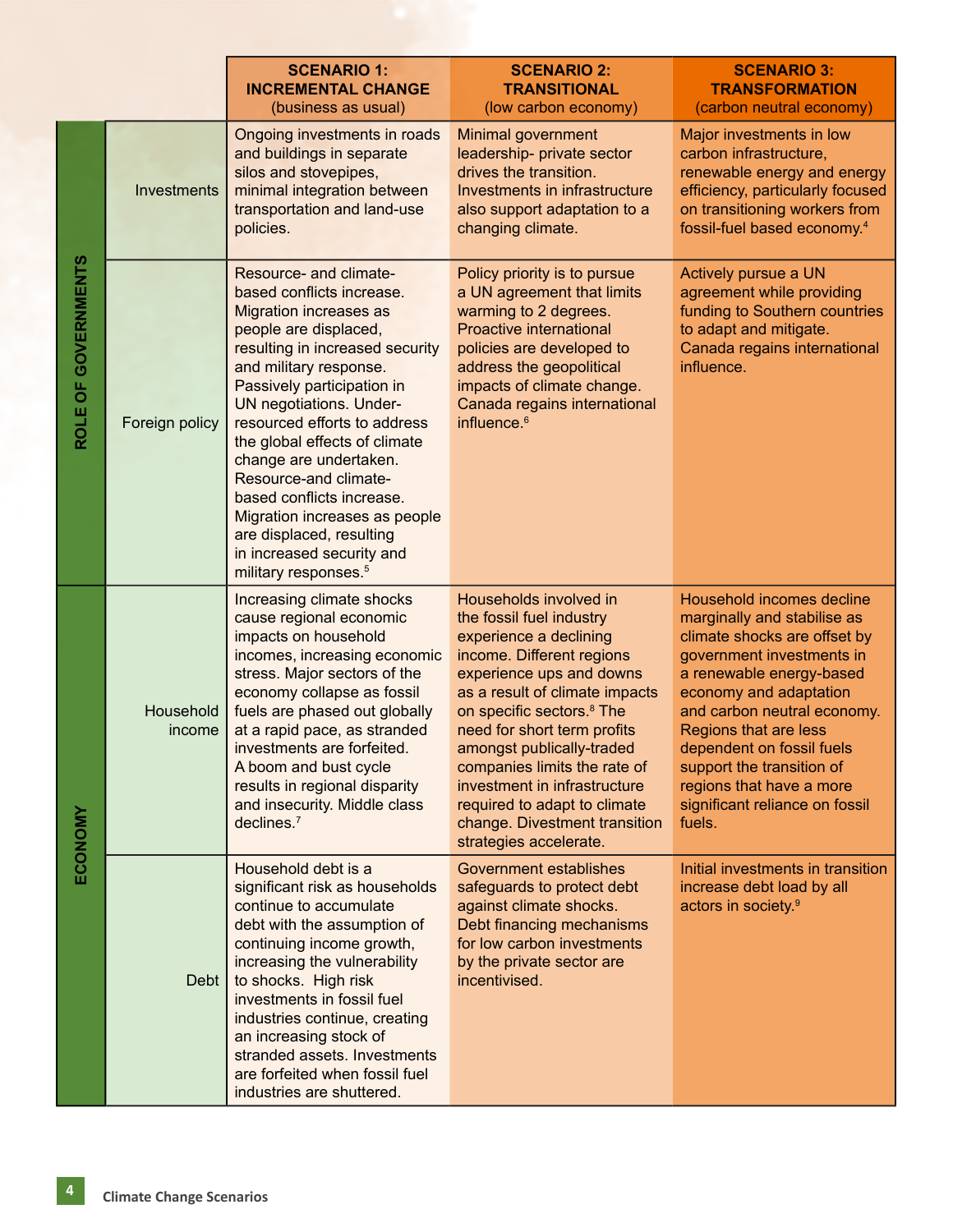|                     |                     | <b>SCENARIO 1:</b><br><b>INCREMENTAL CHANGE</b><br>(business as usual)                                                                                                                                                                                                                                                                                                                                                                                                                                                    | <b>SCENARIO 2:</b><br><b>TRANSITIONAL</b><br>(low carbon economy)                                                                                                                                                                                                                                                                                                                                                                       | <b>SCENARIO 3:</b><br><b>TRANSFORMATION</b><br>(carbon neutral economy)                                                                                                                                                                                                                                                                                               |
|---------------------|---------------------|---------------------------------------------------------------------------------------------------------------------------------------------------------------------------------------------------------------------------------------------------------------------------------------------------------------------------------------------------------------------------------------------------------------------------------------------------------------------------------------------------------------------------|-----------------------------------------------------------------------------------------------------------------------------------------------------------------------------------------------------------------------------------------------------------------------------------------------------------------------------------------------------------------------------------------------------------------------------------------|-----------------------------------------------------------------------------------------------------------------------------------------------------------------------------------------------------------------------------------------------------------------------------------------------------------------------------------------------------------------------|
| ROLE OF GOVERNMENTS | Investments         | Ongoing investments in roads<br>and buildings in separate<br>silos and stovepipes,<br>minimal integration between<br>transportation and land-use<br>policies.                                                                                                                                                                                                                                                                                                                                                             | Minimal government<br>leadership- private sector<br>drives the transition.<br>Investments in infrastructure<br>also support adaptation to a<br>changing climate.                                                                                                                                                                                                                                                                        | Major investments in low<br>carbon infrastructure,<br>renewable energy and energy<br>efficiency, particularly focused<br>on transitioning workers from<br>fossil-fuel based economy. <sup>4</sup>                                                                                                                                                                     |
|                     | Foreign policy      | Resource- and climate-<br>based conflicts increase.<br><b>Migration increases as</b><br>people are displaced,<br>resulting in increased security<br>and military response.<br>Passively participation in<br><b>UN negotiations. Under-</b><br>resourced efforts to address<br>the global effects of climate<br>change are undertaken.<br>Resource-and climate-<br>based conflicts increase.<br>Migration increases as people<br>are displaced, resulting<br>in increased security and<br>military responses. <sup>5</sup> | Policy priority is to pursue<br>a UN agreement that limits<br>warming to 2 degrees.<br><b>Proactive international</b><br>policies are developed to<br>address the geopolitical<br>impacts of climate change.<br>Canada regains international<br>influence. <sup>6</sup>                                                                                                                                                                 | Actively pursue a UN<br>agreement while providing<br>funding to Southern countries<br>to adapt and mitigate.<br>Canada regains international<br>influence.                                                                                                                                                                                                            |
| ECONOMY             | Household<br>income | Increasing climate shocks<br>cause regional economic<br>impacts on household<br>incomes, increasing economic<br>stress. Major sectors of the<br>economy collapse as fossil<br>fuels are phased out globally<br>at a rapid pace, as stranded<br>investments are forfeited.<br>A boom and bust cycle<br>results in regional disparity<br>and insecurity. Middle class<br>declines. <sup>7</sup>                                                                                                                             | Households involved in<br>the fossil fuel industry<br>experience a declining<br>income. Different regions<br>experience ups and downs<br>as a result of climate impacts<br>on specific sectors. <sup>8</sup> The<br>need for short term profits<br>amongst publically-traded<br>companies limits the rate of<br>investment in infrastructure<br>required to adapt to climate<br>change. Divestment transition<br>strategies accelerate. | Household incomes decline<br>marginally and stabilise as<br>climate shocks are offset by<br>government investments in<br>a renewable energy-based<br>economy and adaptation<br>and carbon neutral economy.<br>Regions that are less<br>dependent on fossil fuels<br>support the transition of<br>regions that have a more<br>significant reliance on fossil<br>fuels. |
|                     | Debt                | Household debt is a<br>significant risk as households<br>continue to accumulate<br>debt with the assumption of<br>continuing income growth,<br>increasing the vulnerability<br>to shocks. High risk<br>investments in fossil fuel<br>industries continue, creating<br>an increasing stock of<br>stranded assets. Investments<br>are forfeited when fossil fuel<br>industries are shuttered.                                                                                                                               | <b>Government establishes</b><br>safeguards to protect debt<br>against climate shocks.<br>Debt financing mechanisms<br>for low carbon investments<br>by the private sector are<br>incentivised.                                                                                                                                                                                                                                         | Initial investments in transition<br>increase debt load by all<br>actors in society. <sup>9</sup>                                                                                                                                                                                                                                                                     |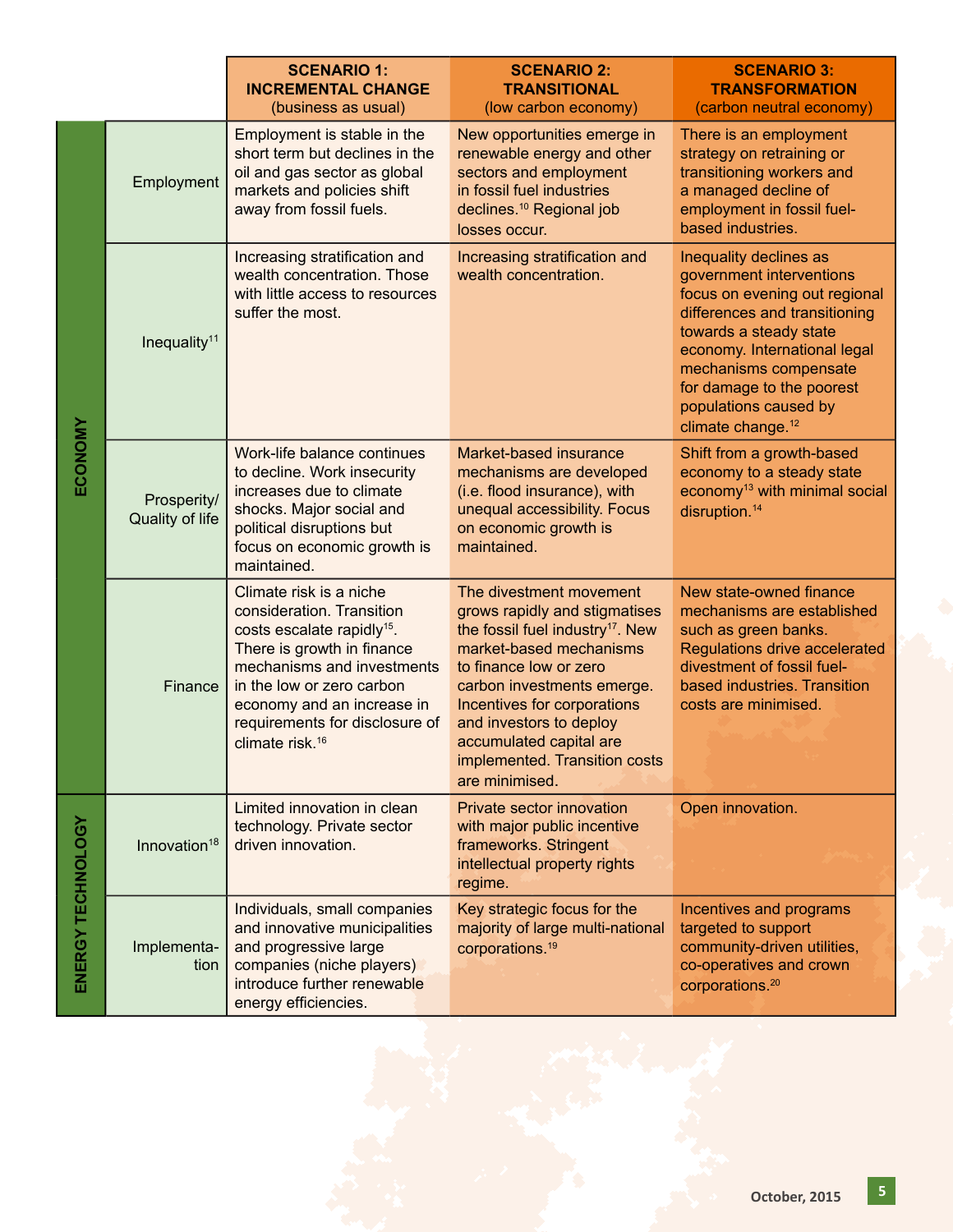|                   |                                | <b>SCENARIO 1:</b><br><b>INCREMENTAL CHANGE</b><br>(business as usual)                                                                                                                                                                                                                 | <b>SCENARIO 2:</b><br><b>TRANSITIONAL</b><br>(low carbon economy)                                                                                                                                                                                                                                                                   | <b>SCENARIO 3:</b><br><b>TRANSFORMATION</b><br>(carbon neutral economy)                                                                                                                                                                                                                        |
|-------------------|--------------------------------|----------------------------------------------------------------------------------------------------------------------------------------------------------------------------------------------------------------------------------------------------------------------------------------|-------------------------------------------------------------------------------------------------------------------------------------------------------------------------------------------------------------------------------------------------------------------------------------------------------------------------------------|------------------------------------------------------------------------------------------------------------------------------------------------------------------------------------------------------------------------------------------------------------------------------------------------|
| ECONOMY           | Employment                     | Employment is stable in the<br>short term but declines in the<br>oil and gas sector as global<br>markets and policies shift<br>away from fossil fuels.                                                                                                                                 | New opportunities emerge in<br>renewable energy and other<br>sectors and employment<br>in fossil fuel industries<br>declines. <sup>10</sup> Regional job<br>losses occur.                                                                                                                                                           | There is an employment<br>strategy on retraining or<br>transitioning workers and<br>a managed decline of<br>employment in fossil fuel-<br>based industries.                                                                                                                                    |
|                   | Inequality <sup>11</sup>       | Increasing stratification and<br>wealth concentration. Those<br>with little access to resources<br>suffer the most.                                                                                                                                                                    | Increasing stratification and<br>wealth concentration.                                                                                                                                                                                                                                                                              | Inequality declines as<br>government interventions<br>focus on evening out regional<br>differences and transitioning<br>towards a steady state<br>economy. International legal<br>mechanisms compensate<br>for damage to the poorest<br>populations caused by<br>climate change. <sup>12</sup> |
|                   | Prosperity/<br>Quality of life | Work-life balance continues<br>to decline. Work insecurity<br>increases due to climate<br>shocks. Major social and<br>political disruptions but<br>focus on economic growth is<br>maintained.                                                                                          | Market-based insurance<br>mechanisms are developed<br>(i.e. flood insurance), with<br>unequal accessibility. Focus<br>on economic growth is<br>maintained.                                                                                                                                                                          | Shift from a growth-based<br>economy to a steady state<br>economy <sup>13</sup> with minimal social<br>disruption. <sup>14</sup>                                                                                                                                                               |
|                   | Finance                        | Climate risk is a niche<br>consideration. Transition<br>costs escalate rapidly <sup>15</sup> .<br>There is growth in finance<br>mechanisms and investments<br>in the low or zero carbon<br>economy and an increase in<br>requirements for disclosure of<br>climate risk. <sup>16</sup> | The divestment movement<br>grows rapidly and stigmatises<br>the fossil fuel industry <sup>17</sup> . New<br>market-based mechanisms<br>to finance low or zero<br>carbon investments emerge.<br>Incentives for corporations<br>and investors to deploy<br>accumulated capital are<br>implemented. Transition costs<br>are minimised. | New state-owned finance<br>mechanisms are established<br>such as green banks.<br>Regulations drive accelerated<br>divestment of fossil fuel-<br>based industries. Transition<br>costs are minimised.                                                                                           |
| ENERGY TECHNOLOGY | Innovation <sup>18</sup>       | Limited innovation in clean<br>technology. Private sector<br>driven innovation.                                                                                                                                                                                                        | Private sector innovation<br>with major public incentive<br>frameworks. Stringent<br>intellectual property rights<br>regime.                                                                                                                                                                                                        | Open innovation.                                                                                                                                                                                                                                                                               |
|                   | Implementa-<br>tion            | Individuals, small companies<br>and innovative municipalities<br>and progressive large<br>companies (niche players)<br>introduce further renewable<br>energy efficiencies.                                                                                                             | Key strategic focus for the<br>majority of large multi-national<br>corporations. <sup>19</sup>                                                                                                                                                                                                                                      | Incentives and programs<br>targeted to support<br>community-driven utilities,<br>co-operatives and crown<br>corporations. <sup>20</sup>                                                                                                                                                        |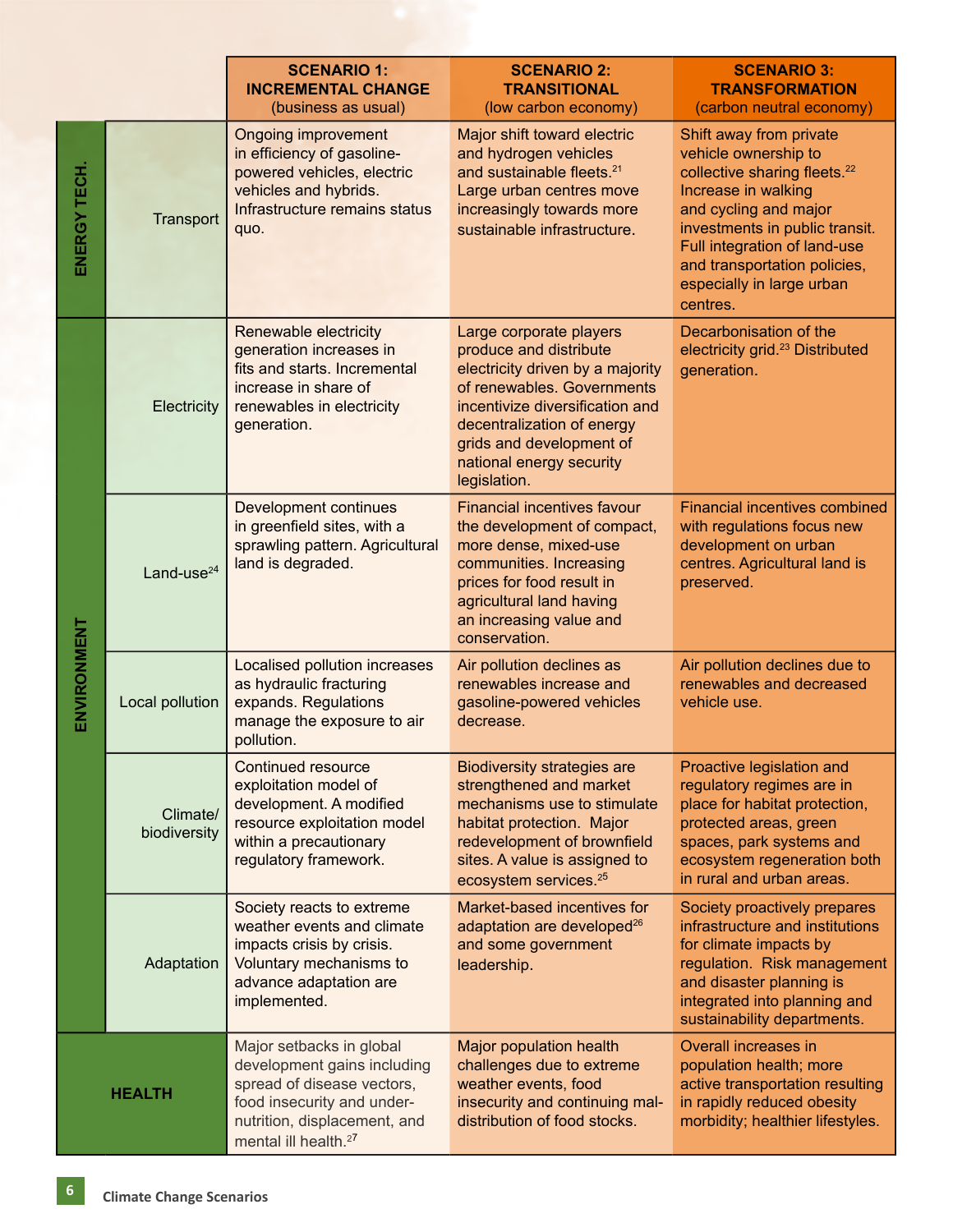|              |                          | <b>SCENARIO 1:</b><br><b>INCREMENTAL CHANGE</b><br>(business as usual)                                                                                                                  | <b>SCENARIO 2:</b><br><b>TRANSITIONAL</b><br>(low carbon economy)                                                                                                                                                                                            | <b>SCENARIO 3:</b><br><b>TRANSFORMATION</b><br>(carbon neutral economy)                                                                                                                                                                                                                |
|--------------|--------------------------|-----------------------------------------------------------------------------------------------------------------------------------------------------------------------------------------|--------------------------------------------------------------------------------------------------------------------------------------------------------------------------------------------------------------------------------------------------------------|----------------------------------------------------------------------------------------------------------------------------------------------------------------------------------------------------------------------------------------------------------------------------------------|
| ENERGY TECH. | Transport                | <b>Ongoing improvement</b><br>in efficiency of gasoline-<br>powered vehicles, electric<br>vehicles and hybrids.<br>Infrastructure remains status<br>quo.                                | Major shift toward electric<br>and hydrogen vehicles<br>and sustainable fleets. <sup>21</sup><br>Large urban centres move<br>increasingly towards more<br>sustainable infrastructure.                                                                        | Shift away from private<br>vehicle ownership to<br>collective sharing fleets. <sup>22</sup><br>Increase in walking<br>and cycling and major<br>investments in public transit.<br>Full integration of land-use<br>and transportation policies,<br>especially in large urban<br>centres. |
| ENVIRONMENT  | Electricity              | Renewable electricity<br>generation increases in<br>fits and starts. Incremental<br>increase in share of<br>renewables in electricity<br>generation.                                    | Large corporate players<br>produce and distribute<br>electricity driven by a majority<br>of renewables. Governments<br>incentivize diversification and<br>decentralization of energy<br>grids and development of<br>national energy security<br>legislation. | Decarbonisation of the<br>electricity grid. <sup>23</sup> Distributed<br>generation.                                                                                                                                                                                                   |
|              | Land-use <sup>24</sup>   | Development continues<br>in greenfield sites, with a<br>sprawling pattern. Agricultural<br>land is degraded.                                                                            | <b>Financial incentives favour</b><br>the development of compact,<br>more dense, mixed-use<br>communities. Increasing<br>prices for food result in<br>agricultural land having<br>an increasing value and<br>conservation.                                   | <b>Financial incentives combined</b><br>with regulations focus new<br>development on urban<br>centres. Agricultural land is<br>preserved.                                                                                                                                              |
|              | Local pollution          | Localised pollution increases<br>as hydraulic fracturing<br>expands. Regulations<br>manage the exposure to air<br>pollution.                                                            | Air pollution declines as<br>renewables increase and<br>gasoline-powered vehicles<br>decrease.                                                                                                                                                               | Air pollution declines due to<br>renewables and decreased<br>vehicle use.                                                                                                                                                                                                              |
|              | Climate/<br>biodiversity | <b>Continued resource</b><br>exploitation model of<br>development. A modified<br>resource exploitation model<br>within a precautionary<br>regulatory framework.                         | <b>Biodiversity strategies are</b><br>strengthened and market<br>mechanisms use to stimulate<br>habitat protection. Major<br>redevelopment of brownfield<br>sites. A value is assigned to<br>ecosystem services. <sup>25</sup>                               | Proactive legislation and<br>regulatory regimes are in<br>place for habitat protection,<br>protected areas, green<br>spaces, park systems and<br>ecosystem regeneration both<br>in rural and urban areas.                                                                              |
|              | Adaptation               | Society reacts to extreme<br>weather events and climate<br>impacts crisis by crisis.<br>Voluntary mechanisms to<br>advance adaptation are<br>implemented.                               | Market-based incentives for<br>adaptation are developed <sup>26</sup><br>and some government<br>leadership.                                                                                                                                                  | Society proactively prepares<br>infrastructure and institutions<br>for climate impacts by<br>regulation. Risk management<br>and disaster planning is<br>integrated into planning and<br>sustainability departments.                                                                    |
|              | <b>HEALTH</b>            | Major setbacks in global<br>development gains including<br>spread of disease vectors,<br>food insecurity and under-<br>nutrition, displacement, and<br>mental ill health. <sup>27</sup> | Major population health<br>challenges due to extreme<br>weather events, food<br>insecurity and continuing mal-<br>distribution of food stocks.                                                                                                               | Overall increases in<br>population health; more<br>active transportation resulting<br>in rapidly reduced obesity<br>morbidity; healthier lifestyles.                                                                                                                                   |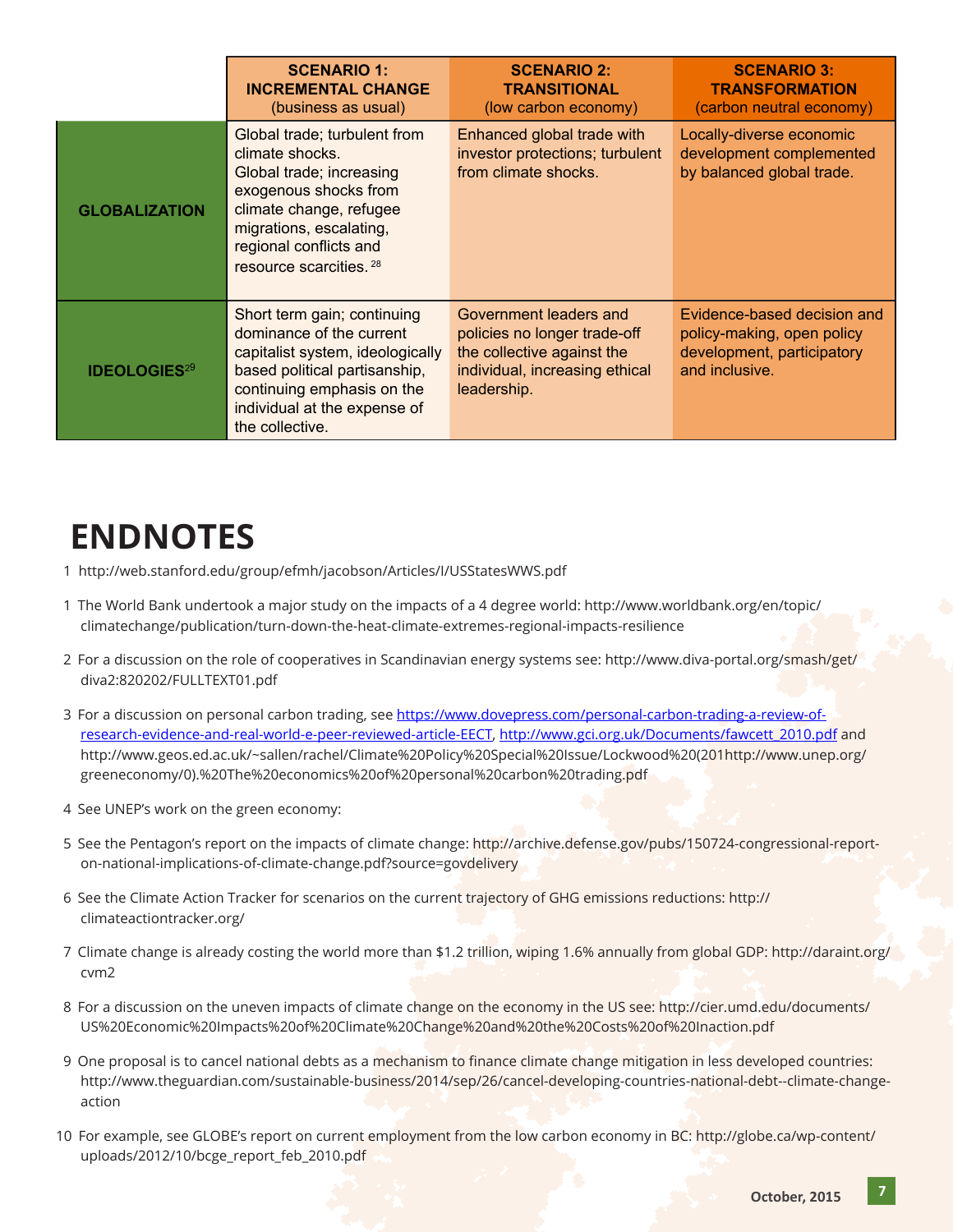|                                | <b>SCENARIO 1:</b><br><b>INCREMENTAL CHANGE</b><br>(business as usual)                                                                                                                                          | <b>SCENARIO 2:</b><br><b>TRANSITIONAL</b><br>(low carbon economy)                                                                     | <b>SCENARIO 3:</b><br><b>TRANSFORMATION</b><br>(carbon neutral economy)                                   |
|--------------------------------|-----------------------------------------------------------------------------------------------------------------------------------------------------------------------------------------------------------------|---------------------------------------------------------------------------------------------------------------------------------------|-----------------------------------------------------------------------------------------------------------|
| <b>GLOBALIZATION</b>           | Global trade; turbulent from<br>climate shocks.<br>Global trade; increasing<br>exogenous shocks from<br>climate change, refugee<br>migrations, escalating,<br>regional conflicts and<br>resource scarcities. 28 | Enhanced global trade with<br>investor protections; turbulent<br>from climate shocks.                                                 | Locally-diverse economic<br>development complemented<br>by balanced global trade.                         |
| <b>IDEOLOGIES<sup>29</sup></b> | Short term gain; continuing<br>dominance of the current<br>capitalist system, ideologically<br>based political partisanship,<br>continuing emphasis on the<br>individual at the expense of<br>the collective.   | Government leaders and<br>policies no longer trade-off<br>the collective against the<br>individual, increasing ethical<br>leadership. | Evidence-based decision and<br>policy-making, open policy<br>development, participatory<br>and inclusive. |

## **ENDNOTES**

- 1 http://web.stanford.edu/group/efmh/jacobson/Articles/I/USStatesWWS.pdf
- 1  The World Bank undertook a major study on the impacts of a 4 degree world: http://www.worldbank.org/en/topic/ climatechange/publication/turn-down-the-heat-climate-extremes-regional-impacts-resilience
- 2  For a discussion on the role of cooperatives in Scandinavian energy systems see: http://www.diva-portal.org/smash/get/ diva2:820202/FULLTEXT01.pdf
- 3  For a discussion on personal carbon trading, see https://www.dovepress.com/personal-carbon-trading-a-review-ofresearch-evidence-and-real-world-e-peer-reviewed-article-EECT, http://www.gci.org.uk/Documents/fawcett\_2010.pdf and http://www.geos.ed.ac.uk/~sallen/rachel/Climate%20Policy%20Special%20Issue/Lockwood%20(201http://www.unep.org/ greeneconomy/0).%20The%20economics%20of%20personal%20carbon%20trading.pdf
- 4  See UNEP's work on the green economy:
- 5  See the Pentagon's report on the impacts of climate change: http://archive.defense.gov/pubs/150724-congressional-reporton-national-implications-of-climate-change.pdf?source=govdelivery
- 6  See the Climate Action Tracker for scenarios on the current trajectory of GHG emissions reductions: http:// climateactiontracker.org/
- 7  Climate change is already costing the world more than \$1.2 trillion, wiping 1.6% annually from global GDP: http://daraint.org/ cvm2
- 8 For a discussion on the uneven impacts of climate change on the economy in the US see: http://cier.umd.edu/documents/ US%20Economic%20Impacts%20of%20Climate%20Change%20and%20the%20Costs%20of%20Inaction.pdf
- 9 One proposal is to cancel national debts as a mechanism to finance climate change mitigation in less developed countries: http://www.theguardian.com/sustainable-business/2014/sep/26/cancel-developing-countries-national-debt--climate-changeaction
- 10  For example, see GLOBE's report on current employment from the low carbon economy in BC: http://globe.ca/wp-content/ uploads/2012/10/bcge\_report\_feb\_2010.pdf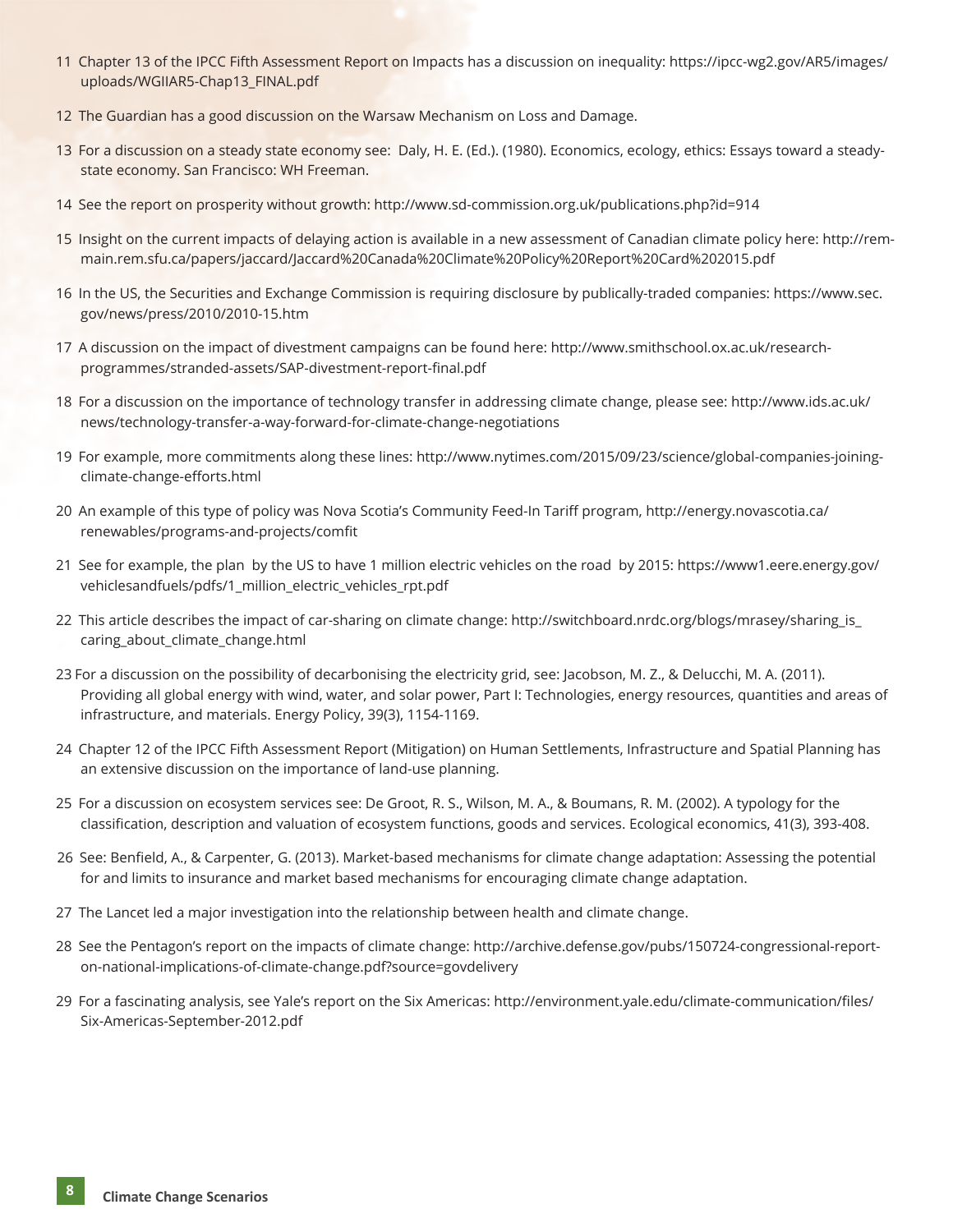- 11  Chapter 13 of the IPCC Fifth Assessment Report on Impacts has a discussion on inequality: https://ipcc-wg2.gov/AR5/images/ uploads/WGIIAR5-Chap13\_FINAL.pdf
- 12  The Guardian has a good discussion on the Warsaw Mechanism on Loss and Damage.
- 13 For a discussion on a steady state economy see: Daly, H. E. (Ed.). (1980). Economics, ecology, ethics: Essays toward a steadystate economy. San Francisco: WH Freeman.
- 14  See the report on prosperity without growth: http://www.sd-commission.org.uk/publications.php?id=914
- 15  Insight on the current impacts of delaying action is available in a new assessment of Canadian climate policy here: http://remmain.rem.sfu.ca/papers/jaccard/Jaccard%20Canada%20Climate%20Policy%20Report%20Card%202015.pdf
- 16  In the US, the Securities and Exchange Commission is requiring disclosure by publically-traded companies: https://www.sec. gov/news/press/2010/2010-15.htm
- 17  A discussion on the impact of divestment campaigns can be found here: http://www.smithschool.ox.ac.uk/researchprogrammes/stranded-assets/SAP-divestment-report-final.pdf
- 18  For a discussion on the importance of technology transfer in addressing climate change, please see: http://www.ids.ac.uk/ news/technology-transfer-a-way-forward-for-climate-change-negotiations
- 19  For example, more commitments along these lines: http://www.nytimes.com/2015/09/23/science/global-companies-joiningclimate-change-efforts.html
- 20  An example of this type of policy was Nova Scotia's Community Feed-In Tariff program, http://energy.novascotia.ca/ renewables/programs-and-projects/comfit
- 21  See for example, the plan by the US to have 1 million electric vehicles on the road by 2015: https://www1.eere.energy.gov/ vehiclesandfuels/pdfs/1\_million\_electric\_vehicles\_rpt.pdf
- 22 This article describes the impact of car-sharing on climate change: http://switchboard.nrdc.org/blogs/mrasey/sharing\_is\_ caring about climate change.html
- 23 For a discussion on the possibility of decarbonising the electricity grid, see: Jacobson, M. Z., & Delucchi, M. A. (2011). Providing all global energy with wind, water, and solar power, Part I: Technologies, energy resources, quantities and areas of infrastructure, and materials. Energy Policy, 39(3), 1154-1169.
- 24  Chapter 12 of the IPCC Fifth Assessment Report (Mitigation) on Human Settlements, Infrastructure and Spatial Planning has an extensive discussion on the importance of land-use planning.
- 25  For a discussion on ecosystem services see: De Groot, R. S., Wilson, M. A., & Boumans, R. M. (2002). A typology for the classification, description and valuation of ecosystem functions, goods and services. Ecological economics, 41(3), 393-408.
- 26  See: Benfield, A., & Carpenter, G. (2013). Market-based mechanisms for climate change adaptation: Assessing the potential for and limits to insurance and market based mechanisms for encouraging climate change adaptation.
- 27  The Lancet led a major investigation into the relationship between health and climate change.
- 28  See the Pentagon's report on the impacts of climate change: http://archive.defense.gov/pubs/150724-congressional-reporton-national-implications-of-climate-change.pdf?source=govdelivery
- 29  For a fascinating analysis, see Yale's report on the Six Americas: http://environment.yale.edu/climate-communication/files/ Six-Americas-September-2012.pdf